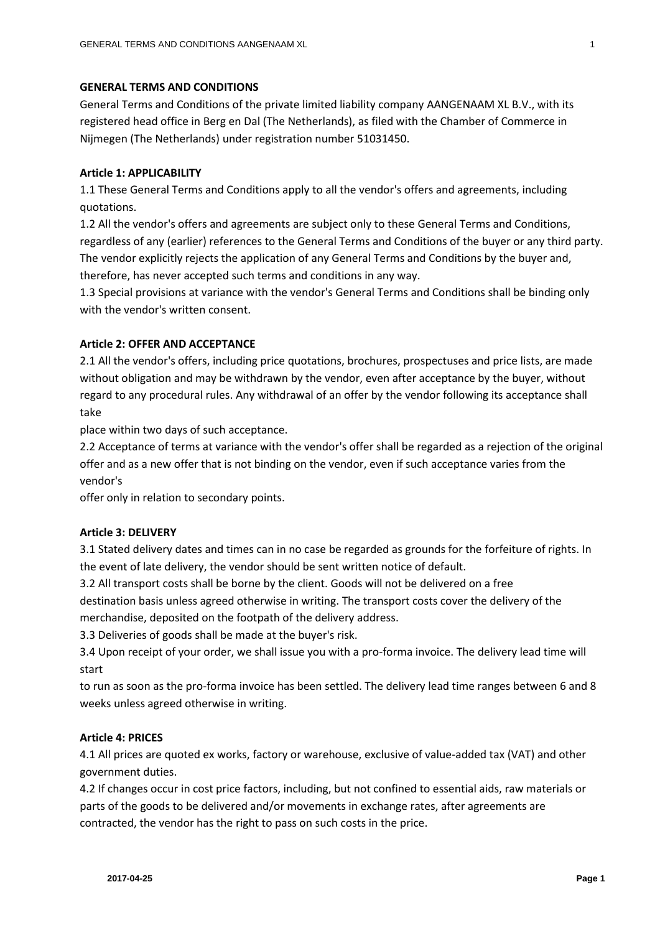## **GENERAL TERMS AND CONDITIONS**

General Terms and Conditions of the private limited liability company AANGENAAM XL B.V., with its registered head office in Berg en Dal (The Netherlands), as filed with the Chamber of Commerce in Nijmegen (The Netherlands) under registration number 51031450.

# **Article 1: APPLICABILITY**

1.1 These General Terms and Conditions apply to all the vendor's offers and agreements, including quotations.

1.2 All the vendor's offers and agreements are subject only to these General Terms and Conditions, regardless of any (earlier) references to the General Terms and Conditions of the buyer or any third party. The vendor explicitly rejects the application of any General Terms and Conditions by the buyer and, therefore, has never accepted such terms and conditions in any way.

1.3 Special provisions at variance with the vendor's General Terms and Conditions shall be binding only with the vendor's written consent.

# **Article 2: OFFER AND ACCEPTANCE**

2.1 All the vendor's offers, including price quotations, brochures, prospectuses and price lists, are made without obligation and may be withdrawn by the vendor, even after acceptance by the buyer, without regard to any procedural rules. Any withdrawal of an offer by the vendor following its acceptance shall take

place within two days of such acceptance.

2.2 Acceptance of terms at variance with the vendor's offer shall be regarded as a rejection of the original offer and as a new offer that is not binding on the vendor, even if such acceptance varies from the vendor's

offer only in relation to secondary points.

# **Article 3: DELIVERY**

3.1 Stated delivery dates and times can in no case be regarded as grounds for the forfeiture of rights. In the event of late delivery, the vendor should be sent written notice of default.

3.2 All transport costs shall be borne by the client. Goods will not be delivered on a free

destination basis unless agreed otherwise in writing. The transport costs cover the delivery of the merchandise, deposited on the footpath of the delivery address.

3.3 Deliveries of goods shall be made at the buyer's risk.

3.4 Upon receipt of your order, we shall issue you with a pro-forma invoice. The delivery lead time will start

to run as soon as the pro-forma invoice has been settled. The delivery lead time ranges between 6 and 8 weeks unless agreed otherwise in writing.

# **Article 4: PRICES**

4.1 All prices are quoted ex works, factory or warehouse, exclusive of value-added tax (VAT) and other government duties.

4.2 If changes occur in cost price factors, including, but not confined to essential aids, raw materials or parts of the goods to be delivered and/or movements in exchange rates, after agreements are contracted, the vendor has the right to pass on such costs in the price.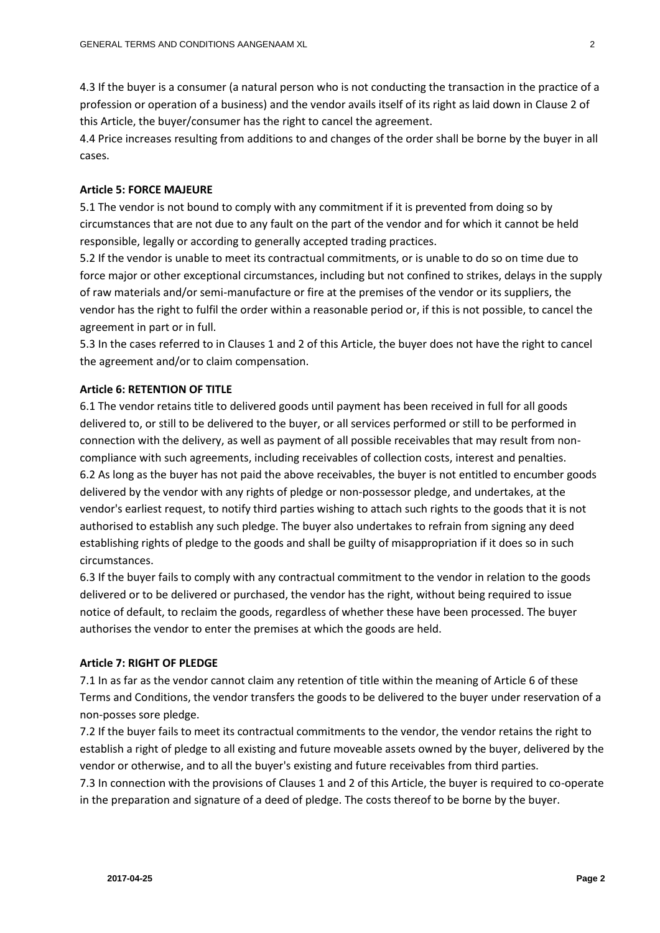4.3 If the buyer is a consumer (a natural person who is not conducting the transaction in the practice of a profession or operation of a business) and the vendor avails itself of its right as laid down in Clause 2 of this Article, the buyer/consumer has the right to cancel the agreement.

4.4 Price increases resulting from additions to and changes of the order shall be borne by the buyer in all cases.

## **Article 5: FORCE MAJEURE**

5.1 The vendor is not bound to comply with any commitment if it is prevented from doing so by circumstances that are not due to any fault on the part of the vendor and for which it cannot be held responsible, legally or according to generally accepted trading practices.

5.2 If the vendor is unable to meet its contractual commitments, or is unable to do so on time due to force major or other exceptional circumstances, including but not confined to strikes, delays in the supply of raw materials and/or semi-manufacture or fire at the premises of the vendor or its suppliers, the vendor has the right to fulfil the order within a reasonable period or, if this is not possible, to cancel the agreement in part or in full.

5.3 In the cases referred to in Clauses 1 and 2 of this Article, the buyer does not have the right to cancel the agreement and/or to claim compensation.

## **Article 6: RETENTION OF TITLE**

6.1 The vendor retains title to delivered goods until payment has been received in full for all goods delivered to, or still to be delivered to the buyer, or all services performed or still to be performed in connection with the delivery, as well as payment of all possible receivables that may result from noncompliance with such agreements, including receivables of collection costs, interest and penalties. 6.2 As long as the buyer has not paid the above receivables, the buyer is not entitled to encumber goods delivered by the vendor with any rights of pledge or non-possessor pledge, and undertakes, at the vendor's earliest request, to notify third parties wishing to attach such rights to the goods that it is not authorised to establish any such pledge. The buyer also undertakes to refrain from signing any deed establishing rights of pledge to the goods and shall be guilty of misappropriation if it does so in such circumstances.

6.3 If the buyer fails to comply with any contractual commitment to the vendor in relation to the goods delivered or to be delivered or purchased, the vendor has the right, without being required to issue notice of default, to reclaim the goods, regardless of whether these have been processed. The buyer authorises the vendor to enter the premises at which the goods are held.

## **Article 7: RIGHT OF PLEDGE**

7.1 In as far as the vendor cannot claim any retention of title within the meaning of Article 6 of these Terms and Conditions, the vendor transfers the goods to be delivered to the buyer under reservation of a non-posses sore pledge.

7.2 If the buyer fails to meet its contractual commitments to the vendor, the vendor retains the right to establish a right of pledge to all existing and future moveable assets owned by the buyer, delivered by the vendor or otherwise, and to all the buyer's existing and future receivables from third parties.

7.3 In connection with the provisions of Clauses 1 and 2 of this Article, the buyer is required to co-operate in the preparation and signature of a deed of pledge. The costs thereof to be borne by the buyer.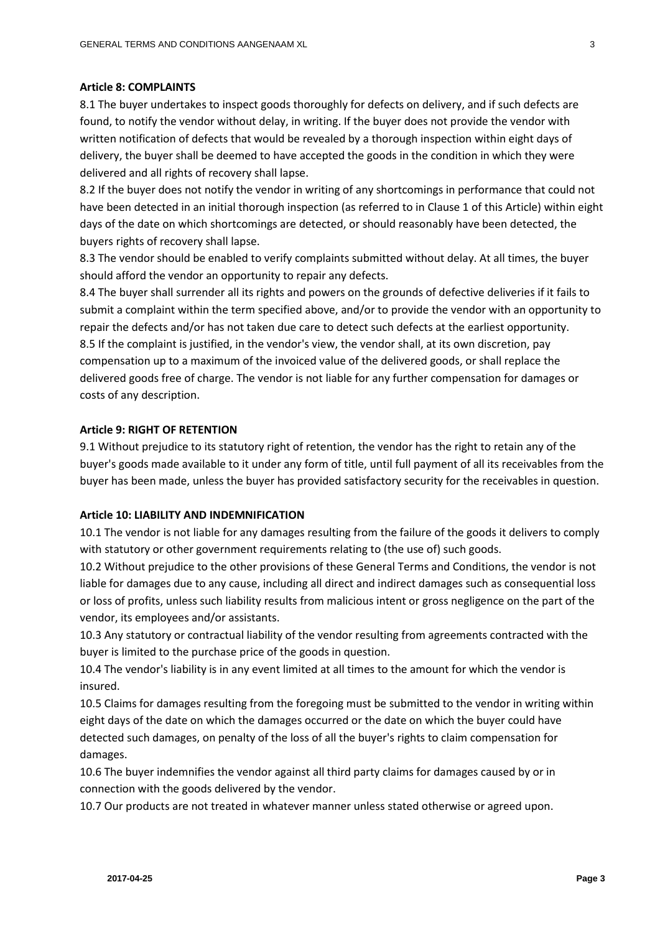#### **Article 8: COMPLAINTS**

8.1 The buyer undertakes to inspect goods thoroughly for defects on delivery, and if such defects are found, to notify the vendor without delay, in writing. If the buyer does not provide the vendor with written notification of defects that would be revealed by a thorough inspection within eight days of delivery, the buyer shall be deemed to have accepted the goods in the condition in which they were delivered and all rights of recovery shall lapse.

8.2 If the buyer does not notify the vendor in writing of any shortcomings in performance that could not have been detected in an initial thorough inspection (as referred to in Clause 1 of this Article) within eight days of the date on which shortcomings are detected, or should reasonably have been detected, the buyers rights of recovery shall lapse.

8.3 The vendor should be enabled to verify complaints submitted without delay. At all times, the buyer should afford the vendor an opportunity to repair any defects.

8.4 The buyer shall surrender all its rights and powers on the grounds of defective deliveries if it fails to submit a complaint within the term specified above, and/or to provide the vendor with an opportunity to repair the defects and/or has not taken due care to detect such defects at the earliest opportunity. 8.5 If the complaint is justified, in the vendor's view, the vendor shall, at its own discretion, pay compensation up to a maximum of the invoiced value of the delivered goods, or shall replace the delivered goods free of charge. The vendor is not liable for any further compensation for damages or costs of any description.

# **Article 9: RIGHT OF RETENTION**

9.1 Without prejudice to its statutory right of retention, the vendor has the right to retain any of the buyer's goods made available to it under any form of title, until full payment of all its receivables from the buyer has been made, unless the buyer has provided satisfactory security for the receivables in question.

## **Article 10: LIABILITY AND INDEMNIFICATION**

10.1 The vendor is not liable for any damages resulting from the failure of the goods it delivers to comply with statutory or other government requirements relating to (the use of) such goods.

10.2 Without prejudice to the other provisions of these General Terms and Conditions, the vendor is not liable for damages due to any cause, including all direct and indirect damages such as consequential loss or loss of profits, unless such liability results from malicious intent or gross negligence on the part of the vendor, its employees and/or assistants.

10.3 Any statutory or contractual liability of the vendor resulting from agreements contracted with the buyer is limited to the purchase price of the goods in question.

10.4 The vendor's liability is in any event limited at all times to the amount for which the vendor is insured.

10.5 Claims for damages resulting from the foregoing must be submitted to the vendor in writing within eight days of the date on which the damages occurred or the date on which the buyer could have detected such damages, on penalty of the loss of all the buyer's rights to claim compensation for damages.

10.6 The buyer indemnifies the vendor against all third party claims for damages caused by or in connection with the goods delivered by the vendor.

10.7 Our products are not treated in whatever manner unless stated otherwise or agreed upon.